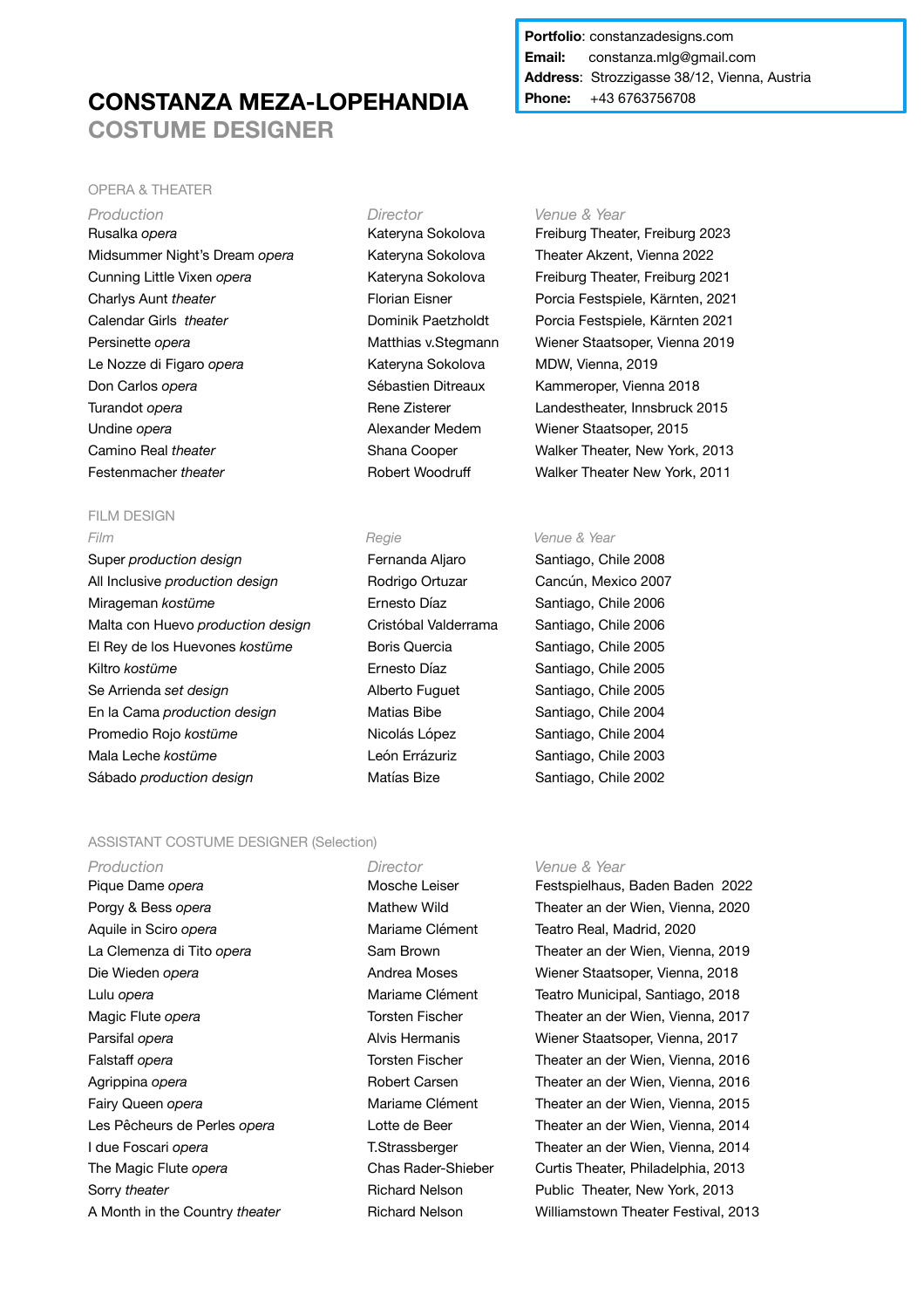# **CONSTANZA MEZA-LOPEHANDIA COSTUME DESIGNER**

## **Portfolio**: constanzadesigns.com **Email:** constanza.mlg@gmail.com **Address**: Strozzigasse 38/12, Vienna, Austria **Phone:** +43 6763756708

### OPERA & THEATER

**Production** *Director Venue & Year Production* Rusalka *opera* Kateryna Sokolova Freiburg Theater, Freiburg 2023 Midsummer Night's Dream *opera* Kateryna Sokolova Theater Akzent, Vienna 2022 Cunning Little Vixen *opera* Kateryna Sokolova Freiburg Theater, Freiburg 2021 Charlys Aunt *theater* Florian Eisner Porcia Festspiele, Kärnten, 2021 Calendar Girls *theater* Dominik Paetzholdt Porcia Festspiele, Kärnten 2021 Persinette *opera* Matthias v.Stegmann Wiener Staatsoper, Vienna 2019 Le Nozze di Figaro *opera* Kateryna Sokolova MDW, Vienna, 2019 Don Carlos *opera* Sébastien Ditreaux Kammeroper, Vienna 2018 Turandot *opera* Turandot *opera* Rene Zisterer Landestheater, Innsbruck 2015 Undine *opera* **Alexander Medem** Wiener Staatsoper, 2015 Camino Real *theater* Shana Cooper Walker Theater, New York, 2013 Festenmacher *theater* **Robert Woodruff** Walker Theater New York, 2011

### **FILM DESIGN** *Film Regie Venue & Year*

Super *production design* Fernanda Aljaro Santiago, Chile 2008 All Inclusive *production design* Rodrigo Ortuzar Cancún, Mexico 2007 Mirageman *kostüme* **Ernesto Díaz** Santiago, Chile 2006 Malta con Huevo *production design* Cristóbal Valderrama Santiago, Chile 2006 El Rey de los Huevones *kostüme* **Boris Quercia** Santiago, Chile 2005 Kiltro *kostüme* **Ernesto Díaz** Santiago, Chile 2005 Se Arrienda set design **Sexual Exercise Santiago**, Chile 2005 En la Cama *production design* Matias Bibe Santiago, Chile 2004 Promedio Rojo *kostüme* Nicolás López Santiago, Chile 2004 Mala Leche *kostüme* **León Errázuriz** Santiago, Chile 2003 Sábado *production design* Matías Bize Santiago, Chile 2002

## ASSISTANT COSTUME DESIGNER (Selection)

*Production Director Venue & Year* Aquile in Sciro *opera* Mariame Clément Teatro Real, Madrid, 2020 Sorry *theater* **Richard Nelson Public Theater, New York, 2013 Richard Nelson Public Theater, New York, 2013** 

Pique Dame *opera* **Mosche Leiser Festspielhaus, Baden Baden 2022** Porgy & Bess *opera* **Mathew Wild Theater an der Wien, Vienna, 2020** La Clemenza di Tito *opera* Sam Brown **Theater an der Wien, Vienna, 2019** Die Wieden *opera* **Andrea Moses** Miener Staatsoper, Vienna, 2018 Lulu *opera* **Mariame Clément** Teatro Municipal, Santiago, 2018 Magic Flute *opera* Torsten Fischer **Theater an der Wien, Vienna, 2017** Parsifal *opera* **Alvis Hermanis Wiener Staatsoper, Vienna, 2017 Alvis Hermanis Wiener Staatsoper, Vienna, 2017** Falstaff *opera* Torsten Fischer Theater an der Wien, Vienna, 2016 Agrippina *opera* **Agrippina** *opera* **Robert Carsen Theater an der Wien, Vienna, 2016 Research 2016** Fairy Queen *opera* Mariame Clément Theater an der Wien, Vienna, 2015 Les Pêcheurs de Perles *opera* Lotte de Beer Theater an der Wien, Vienna, 2014 I due Foscari *opera* **T.Strassberger** T.Strassberger Theater an der Wien, Vienna, 2014 The Magic Flute *opera* Chas Rader-Shieber Curtis Theater, Philadelphia, 2013 A Month in the Country *theater* **Richard Nelson** Williamstown Theater Festival, 2013